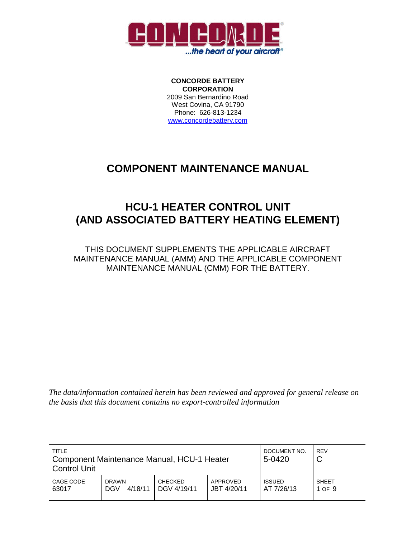

**CONCORDE BATTERY CORPORATION** 2009 San Bernardino Road West Covina, CA 91790 Phone: 626-813-1234 www.concordebattery.com

## **COMPONENT MAINTENANCE MANUAL**

# **HCU-1 HEATER CONTROL UNIT (AND ASSOCIATED BATTERY HEATING ELEMENT)**

THIS DOCUMENT SUPPLEMENTS THE APPLICABLE AIRCRAFT MAINTENANCE MANUAL (AMM) AND THE APPLICABLE COMPONENT MAINTENANCE MANUAL (CMM) FOR THE BATTERY.

*The data/information contained herein has been reviewed and approved for general release on the basis that this document contains no export-controlled information*

| TITLE<br>Component Maintenance Manual, HCU-1 Heater<br><b>Control Unit</b> |                                       |                               |                         | DOCUMENT NO.<br>5-0420      | <b>REV</b><br>ັ        |
|----------------------------------------------------------------------------|---------------------------------------|-------------------------------|-------------------------|-----------------------------|------------------------|
| CAGE CODE<br>63017                                                         | <b>DRAWN</b><br>4/18/11<br><b>DGV</b> | <b>CHECKED</b><br>DGV 4/19/11 | APPROVED<br>JBT 4/20/11 | <b>ISSUED</b><br>AT 7/26/13 | <b>SHEET</b><br>1 OF 9 |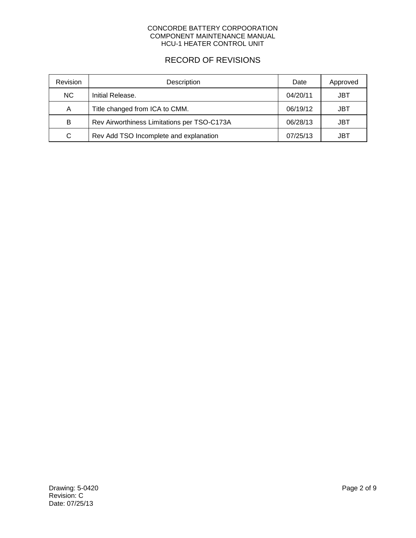### RECORD OF REVISIONS

| Revision  | Description                                 | Date     | Approved |
|-----------|---------------------------------------------|----------|----------|
| <b>NC</b> | Initial Release.                            | 04/20/11 | JBT      |
| A         | Title changed from ICA to CMM.              | 06/19/12 | JBT      |
| B         | Rev Airworthiness Limitations per TSO-C173A | 06/28/13 | JBT      |
| C         | Rev Add TSO Incomplete and explanation      | 07/25/13 | JBT      |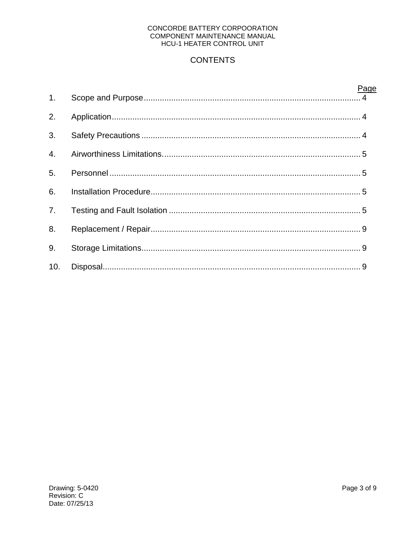## **CONTENTS**

|                | Page |
|----------------|------|
| 1 <sub>1</sub> |      |
| 2.             |      |
| 3.             |      |
| 4.             |      |
| 5.             |      |
| 6.             |      |
| 7 <sub>1</sub> |      |
| 8.             |      |
| 9.             |      |
| 10.            |      |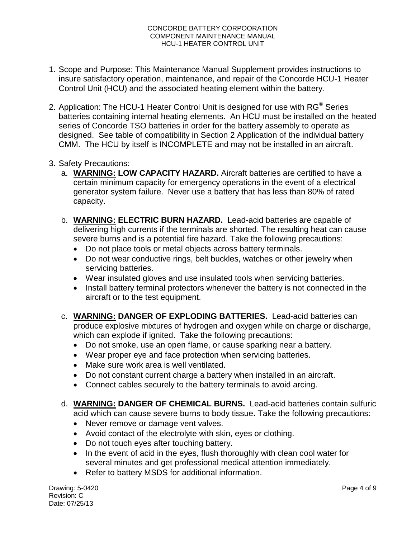- 1. Scope and Purpose: This Maintenance Manual Supplement provides instructions to insure satisfactory operation, maintenance, and repair of the Concorde HCU-1 Heater Control Unit (HCU) and the associated heating element within the battery.
- 2. Application: The HCU-1 Heater Control Unit is designed for use with  $RG^{\circledast}$  Series batteries containing internal heating elements. An HCU must be installed on the heated series of Concorde TSO batteries in order for the battery assembly to operate as designed. See table of compatibility in Section 2 Application of the individual battery CMM. The HCU by itself is INCOMPLETE and may not be installed in an aircraft.
- 3. Safety Precautions:
	- a. **WARNING: LOW CAPACITY HAZARD.** Aircraft batteries are certified to have a certain minimum capacity for emergency operations in the event of a electrical generator system failure. Never use a battery that has less than 80% of rated capacity.
	- b. **WARNING: ELECTRIC BURN HAZARD.** Lead-acid batteries are capable of delivering high currents if the terminals are shorted. The resulting heat can cause severe burns and is a potential fire hazard. Take the following precautions:
		- Do not place tools or metal objects across battery terminals.
		- Do not wear conductive rings, belt buckles, watches or other jewelry when servicing batteries.
		- Wear insulated gloves and use insulated tools when servicing batteries.
		- Install battery terminal protectors whenever the battery is not connected in the aircraft or to the test equipment.
	- c. **WARNING: DANGER OF EXPLODING BATTERIES.** Lead-acid batteries can produce explosive mixtures of hydrogen and oxygen while on charge or discharge, which can explode if ignited. Take the following precautions:
		- Do not smoke, use an open flame, or cause sparking near a battery.
		- Wear proper eye and face protection when servicing batteries.
		- Make sure work area is well ventilated.
		- Do not constant current charge a battery when installed in an aircraft.
		- Connect cables securely to the battery terminals to avoid arcing.
	- d. **WARNING: DANGER OF CHEMICAL BURNS.** Lead-acid batteries contain sulfuric acid which can cause severe burns to body tissue**.** Take the following precautions:
		- Never remove or damage vent valves.
		- Avoid contact of the electrolyte with skin, eyes or clothing.
		- Do not touch eyes after touching battery.
		- In the event of acid in the eyes, flush thoroughly with clean cool water for several minutes and get professional medical attention immediately.
		- Refer to battery MSDS for additional information.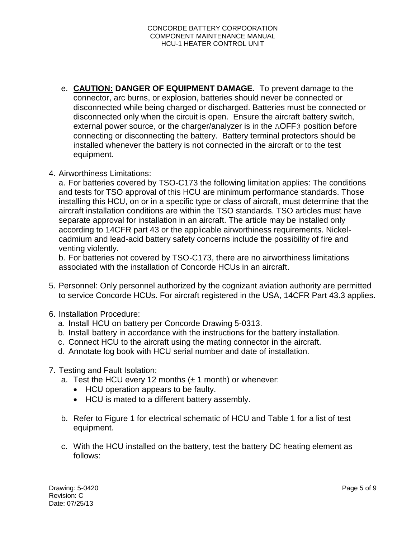- e. **CAUTION: DANGER OF EQUIPMENT DAMAGE.** To prevent damage to the connector, arc burns, or explosion, batteries should never be connected or disconnected while being charged or discharged. Batteries must be connected or disconnected only when the circuit is open. Ensure the aircraft battery switch, external power source, or the charger/analyzer is in the AOFF@ position before connecting or disconnecting the battery. Battery terminal protectors should be installed whenever the battery is not connected in the aircraft or to the test equipment.
- 4. Airworthiness Limitations:

a. For batteries covered by TSO-C173 the following limitation applies: The conditions and tests for TSO approval of this HCU are minimum performance standards. Those installing this HCU, on or in a specific type or class of aircraft, must determine that the aircraft installation conditions are within the TSO standards. TSO articles must have separate approval for installation in an aircraft. The article may be installed only according to 14CFR part 43 or the applicable airworthiness requirements. Nickelcadmium and lead-acid battery safety concerns include the possibility of fire and venting violently.

b. For batteries not covered by TSO-C173, there are no airworthiness limitations associated with the installation of Concorde HCUs in an aircraft.

- 5. Personnel: Only personnel authorized by the cognizant aviation authority are permitted to service Concorde HCUs. For aircraft registered in the USA, 14CFR Part 43.3 applies.
- 6. Installation Procedure:
	- a. Install HCU on battery per Concorde Drawing 5-0313.
	- b. Install battery in accordance with the instructions for the battery installation.
	- c. Connect HCU to the aircraft using the mating connector in the aircraft.
	- d. Annotate log book with HCU serial number and date of installation.
- 7. Testing and Fault Isolation:
	- a. Test the HCU every 12 months  $(\pm 1 \text{ month})$  or whenever:
		- HCU operation appears to be faulty.
		- HCU is mated to a different battery assembly.
	- b. Refer to Figure 1 for electrical schematic of HCU and Table 1 for a list of test equipment.
	- c. With the HCU installed on the battery, test the battery DC heating element as follows: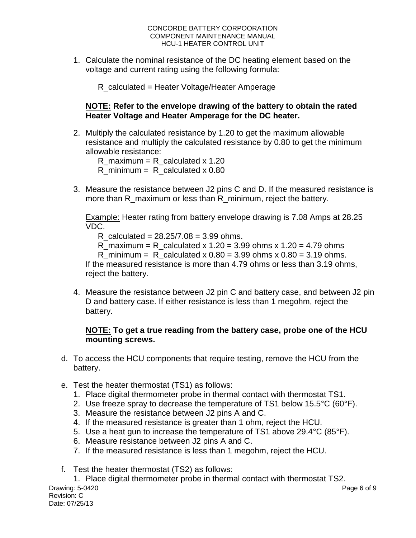1. Calculate the nominal resistance of the DC heating element based on the voltage and current rating using the following formula:

R\_calculated = Heater Voltage/Heater Amperage

### **NOTE: Refer to the envelope drawing of the battery to obtain the rated Heater Voltage and Heater Amperage for the DC heater.**

2. Multiply the calculated resistance by 1.20 to get the maximum allowable resistance and multiply the calculated resistance by 0.80 to get the minimum allowable resistance:

R maximum = R calculated x 1.20 R minimum = R calculated  $x$  0.80

3. Measure the resistance between J2 pins C and D. If the measured resistance is more than R\_maximum or less than R\_minimum, reject the battery.

Example: Heater rating from battery envelope drawing is 7.08 Amps at 28.25 VDC.

R calculated =  $28.25/7.08 = 3.99$  ohms.

R maximum = R calculated x  $1.20 = 3.99$  ohms x  $1.20 = 4.79$  ohms

R minimum = R calculated x  $0.80 = 3.99$  ohms x  $0.80 = 3.19$  ohms.

If the measured resistance is more than 4.79 ohms or less than 3.19 ohms, reject the battery.

4. Measure the resistance between J2 pin C and battery case, and between J2 pin D and battery case. If either resistance is less than 1 megohm, reject the battery.

### **NOTE: To get a true reading from the battery case, probe one of the HCU mounting screws.**

- d. To access the HCU components that require testing, remove the HCU from the battery.
- e. Test the heater thermostat (TS1) as follows:
	- 1. Place digital thermometer probe in thermal contact with thermostat TS1.
	- 2. Use freeze spray to decrease the temperature of TS1 below  $15.5^{\circ}C$  (60 $^{\circ}F$ ).
	- 3. Measure the resistance between J2 pins A and C.
	- 4. If the measured resistance is greater than 1 ohm, reject the HCU.
	- 5. Use a heat gun to increase the temperature of TS1 above 29.4°C (85°F).
	- 6. Measure resistance between J2 pins A and C.
	- 7. If the measured resistance is less than 1 megohm, reject the HCU.
- f. Test the heater thermostat (TS2) as follows:

Drawing: 5-0420 Revision: C Date: 07/25/13 Page 6 of 9 1. Place digital thermometer probe in thermal contact with thermostat TS2.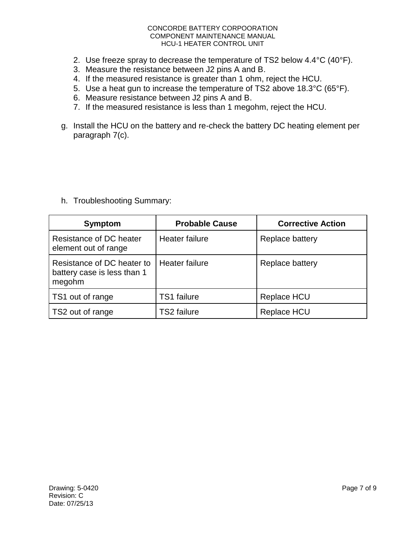- 2. Use freeze spray to decrease the temperature of TS2 below 4.4°C (40°F).
- 3. Measure the resistance between J2 pins A and B.
- 4. If the measured resistance is greater than 1 ohm, reject the HCU.
- 5. Use a heat gun to increase the temperature of TS2 above 18.3°C (65°F).
- 6. Measure resistance between J2 pins A and B.
- 7. If the measured resistance is less than 1 megohm, reject the HCU.
- g. Install the HCU on the battery and re-check the battery DC heating element per paragraph 7(c).

h. Troubleshooting Summary:

| <b>Symptom</b>                                                      | <b>Probable Cause</b> | <b>Corrective Action</b> |
|---------------------------------------------------------------------|-----------------------|--------------------------|
| Resistance of DC heater<br>element out of range                     | Heater failure        | Replace battery          |
| Resistance of DC heater to<br>battery case is less than 1<br>megohm | Heater failure        | Replace battery          |
| TS1 out of range                                                    | <b>TS1</b> failure    | Replace HCU              |
| TS2 out of range                                                    | <b>TS2 failure</b>    | Replace HCU              |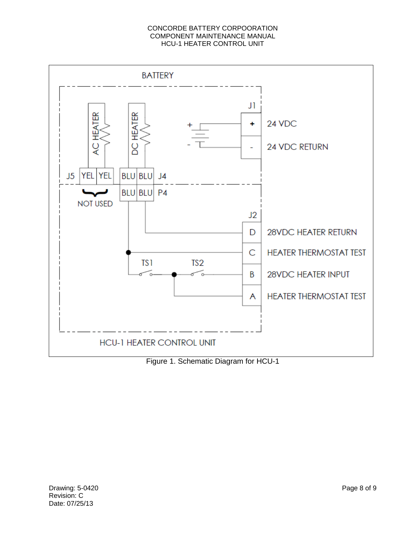

Figure 1. Schematic Diagram for HCU-1